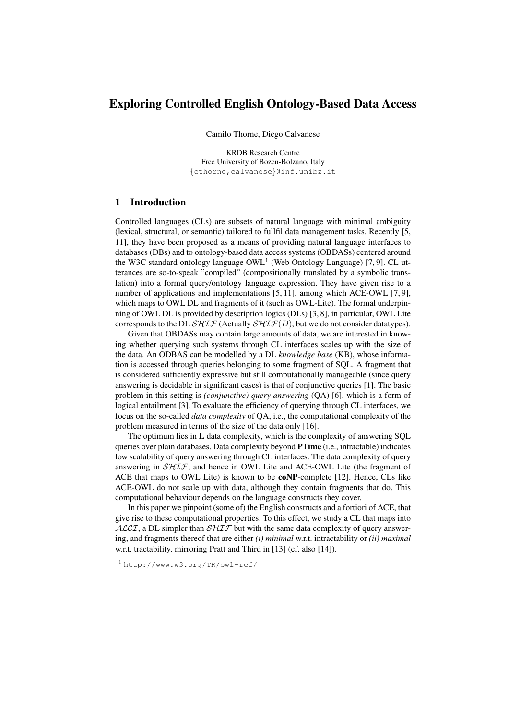# Exploring Controlled English Ontology-Based Data Access

Camilo Thorne, Diego Calvanese

KRDB Research Centre Free University of Bozen-Bolzano, Italy {cthorne,calvanese}@inf.unibz.it

## 1 Introduction

Controlled languages (CLs) are subsets of natural language with minimal ambiguity (lexical, structural, or semantic) tailored to fullfil data management tasks. Recently [5, 11], they have been proposed as a means of providing natural language interfaces to databases (DBs) and to ontology-based data access systems (OBDASs) centered around the W3C standard ontology language  $OWL<sup>1</sup>$  (Web Ontology Language) [7, 9]. CL utterances are so-to-speak "compiled" (compositionally translated by a symbolic translation) into a formal query/ontology language expression. They have given rise to a number of applications and implementations [5, 11], among which ACE-OWL [7, 9], which maps to OWL DL and fragments of it (such as OWL-Lite). The formal underpinning of OWL DL is provided by description logics (DLs) [3, 8], in particular, OWL Lite corresponds to the DL  $SHIF$  (Actually  $SHIF(D)$ , but we do not consider datatypes).

Given that OBDASs may contain large amounts of data, we are interested in knowing whether querying such systems through CL interfaces scales up with the size of the data. An ODBAS can be modelled by a DL *knowledge base* (KB), whose information is accessed through queries belonging to some fragment of SQL. A fragment that is considered sufficiently expressive but still computationally manageable (since query answering is decidable in significant cases) is that of conjunctive queries [1]. The basic problem in this setting is *(conjunctive) query answering* (QA) [6], which is a form of logical entailment [3]. To evaluate the efficiency of querying through CL interfaces, we focus on the so-called *data complexity* of QA, i.e., the computational complexity of the problem measured in terms of the size of the data only [16].

The optimum lies in L data complexity, which is the complexity of answering SQL queries over plain databases. Data complexity beyond **PTime** (i.e., intractable) indicates low scalability of query answering through CL interfaces. The data complexity of query answering in  $SHIF$ , and hence in OWL Lite and ACE-OWL Lite (the fragment of ACE that maps to OWL Lite) is known to be coNP-complete [12]. Hence, CLs like ACE-OWL do not scale up with data, although they contain fragments that do. This computational behaviour depends on the language constructs they cover.

In this paper we pinpoint (some of) the English constructs and a fortiori of ACE, that give rise to these computational properties. To this effect, we study a CL that maps into  $ALCI$ , a DL simpler than  $SHTF$  but with the same data complexity of query answering, and fragments thereof that are either *(i) minimal* w.r.t. intractability or *(ii) maximal* w.r.t. tractability, mirroring Pratt and Third in [13] (cf. also [14]).

<sup>1</sup> http://www.w3.org/TR/owl-ref/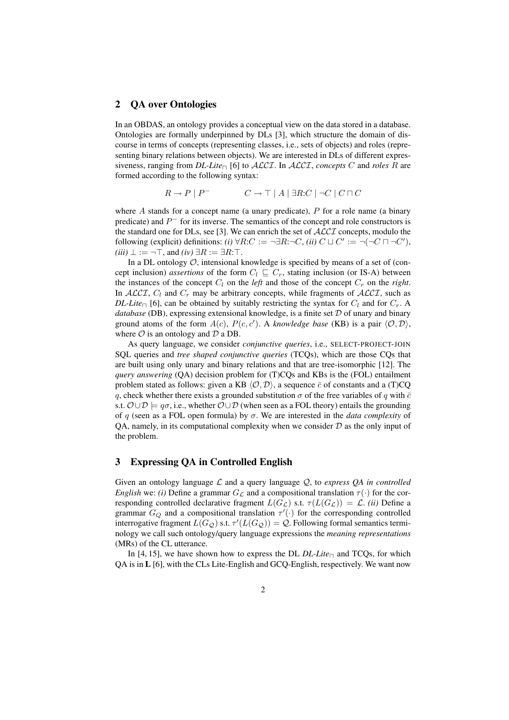### 2 QA over Ontologies

In an OBDAS, an ontology provides a conceptual view on the data stored in a database. Ontologies are formally underpinned by DLs [3], which structure the domain of discourse in terms of concepts (representing classes, i.e., sets of objects) and roles (representing binary relations between objects). We are interested in DLs of different expressiveness, ranging from *DL-Lite*<sub> $\Box$ </sub> [6] to *ALCI*. In *ALCI*, *concepts* C and *roles* R are formed according to the following syntax:

$$
R \to P \mid P^- \qquad \qquad C \to \top \mid A \mid \exists R:C \mid \neg C \mid C \sqcap C
$$

where  $A$  stands for a concept name (a unary predicate),  $P$  for a role name (a binary predicate) and  $P^-$  for its inverse. The semantics of the concept and role constructors is the standard one for DLs, see [3]. We can enrich the set of  $\mathcal{ALCI}$  concepts, modulo the following (explicit) definitions: *(i)*  $\forall R:C := \neg \exists R:\neg C$ , *(ii)*  $C \sqcup C' := \neg(\neg C \sqcap \neg C')$ ,  $(iii) \perp := \neg \top$ , and  $(iv) \exists R := \exists R : \top$ .

In a DL ontology  $O$ , intensional knowledge is specified by means of a set of (concept inclusion) *assertions* of the form  $C_l \subseteq C_r$ , stating inclusion (or IS-A) between the instances of the concept  $C_l$  on the *left* and those of the concept  $C_r$  on the *right*. In ALCI,  $C_l$  and  $C_r$  may be arbitrary concepts, while fragments of ALCI, such as *DL-Lite*<sub> $\Box$ </sub> [6], can be obtained by suitably restricting the syntax for  $C_l$  and for  $C_r$ . A *database* (DB), expressing extensional knowledge, is a finite set  $D$  of unary and binary ground atoms of the form  $A(c)$ ,  $P(c, c')$ . A *knowledge base* (KB) is a pair  $\langle \mathcal{O}, \mathcal{D} \rangle$ , where  $\mathcal O$  is an ontology and  $\mathcal D$  a DB.

As query language, we consider *conjunctive queries*, i.e., SELECT-PROJECT-JOIN SQL queries and *tree shaped conjunctive queries* (TCQs), which are those CQs that are built using only unary and binary relations and that are tree-isomorphic [12]. The *query answering* (QA) decision problem for (T)CQs and KBs is the (FOL) entailment problem stated as follows: given a KB  $\langle \mathcal{O}, \mathcal{D} \rangle$ , a sequence  $\bar{c}$  of constants and a (T)CQ q, check whether there exists a grounded substitution  $\sigma$  of the free variables of q with  $\bar{c}$ s.t.  $\mathcal{O} \cup \mathcal{D} \models q\sigma$ , i.e., whether  $\mathcal{O} \cup \mathcal{D}$  (when seen as a FOL theory) entails the grounding of q (seen as a FOL open formula) by σ. We are interested in the *data complexity* of QA, namely, in its computational complexity when we consider  $D$  as the only input of the problem.

## 3 Expressing QA in Controlled English

Given an ontology language  $\mathcal L$  and a query language  $\mathcal Q$ , to *express OA in controlled English* we: *(i)* Define a grammar  $G_{\mathcal{L}}$  and a compositional translation  $\tau(\cdot)$  for the corresponding controlled declarative fragment  $L(G_{\mathcal{L}})$  s.t.  $\tau(L(G_{\mathcal{L}})) = \mathcal{L}$ . *(ii)* Define a grammar  $G_Q$  and a compositional translation  $\tau'(\cdot)$  for the corresponding controlled interrogative fragment  $L(G_{\mathcal{Q}})$  s.t.  $\tau'(L(G_{\mathcal{Q}})) = \mathcal{Q}$ . Following formal semantics terminology we call such ontology/query language expressions the *meaning representations* (MRs) of the CL utterance.

In [4, 15], we have shown how to express the DL  $DL\text{-}Lie_{\Box}$  and TCQs, for which QA is in L [6], with the CLs Lite-English and GCQ-English, respectively. We want now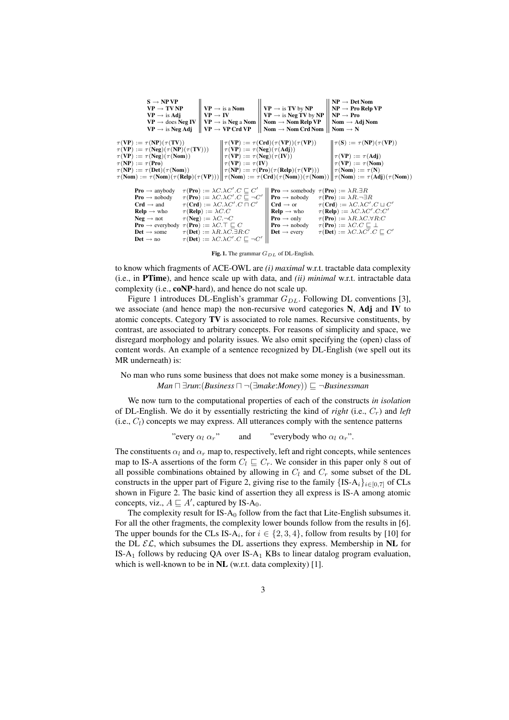| $NP \rightarrow Det Nom$                                                                                                         |                                             |                                                                              | $S \rightarrow NP VP$                                                                          |  |  |  |  |  |
|----------------------------------------------------------------------------------------------------------------------------------|---------------------------------------------|------------------------------------------------------------------------------|------------------------------------------------------------------------------------------------|--|--|--|--|--|
| $NP \rightarrow Pro$ Relp VP                                                                                                     | $VP \rightarrow$ is TV by NP                | $VP \rightarrow TV NP$<br>$VP \rightarrow$ is a Nom                          |                                                                                                |  |  |  |  |  |
| $VP \rightarrow$ is Neg TV by NP<br>$NP \rightarrow Pro$                                                                         |                                             | $VP \rightarrow is Adj$<br>$VP \rightarrow IV$                               |                                                                                                |  |  |  |  |  |
| Nom $\rightarrow$ Nom Relp VP<br>Nom $\rightarrow$ Adj Nom                                                                       |                                             | $VP \rightarrow$ is Neg a Nom<br>$VP \rightarrow$ does Neg IV                |                                                                                                |  |  |  |  |  |
| Nom $\rightarrow$ Nom Crd Nom<br>Nom $\rightarrow$ N                                                                             |                                             | $\mid$ VP $\rightarrow$ VP Crd VP                                            | $VP \rightarrow$ is Neg Adj                                                                    |  |  |  |  |  |
|                                                                                                                                  |                                             |                                                                              |                                                                                                |  |  |  |  |  |
| $   \tau(\mathbf{S}) := \tau(\mathbf{NP})(\tau(\mathbf{VP}))$                                                                    | $\tau(VP) := \tau(Crd)(\tau(VP))(\tau(VP))$ |                                                                              | $\tau(VP) := \tau(NP)(\tau(TV))$                                                               |  |  |  |  |  |
|                                                                                                                                  |                                             | $\tau(VP) := \tau(Neg)(\tau(Adj))$                                           | $\tau(VP) := \tau(Neg)(\tau(NP)(\tau(TV)))$                                                    |  |  |  |  |  |
| $\tau(VP) := \tau(Adj)$                                                                                                          |                                             | $\tau(VP) := \tau(Neg)(\tau(Nom))$<br>$\tau(VP) := \tau(Neg)(\tau(IV))$      |                                                                                                |  |  |  |  |  |
| $\tau(VP) := \tau(Nom)$                                                                                                          |                                             | $\tau(VP) := \tau(IV)$                                                       | $\tau(NP) := \tau(Pro)$                                                                        |  |  |  |  |  |
| $\tau(Nom) := \tau(N)$<br>$\tau(NP) := \tau(Det)(\tau(Nom))$<br>$\tau(NP) := \tau(Pro)(\tau(Relp)(\tau(VP)))$                    |                                             |                                                                              |                                                                                                |  |  |  |  |  |
| $\tau(Nom) := \tau(Nom)(\tau(Relp)(\tau(VP))) \ \tau(Nom) := \tau(Crd)(\tau(Nom))(\tau(Nom))\ \tau(Nom) := \tau(Adj)(\tau(Nom))$ |                                             |                                                                              |                                                                                                |  |  |  |  |  |
|                                                                                                                                  |                                             |                                                                              |                                                                                                |  |  |  |  |  |
| <b>Pro</b> $\rightarrow$ somebody $\tau$ ( <b>Pro</b> ) := $\lambda R \exists R$                                                 |                                             | $\tau(\text{Pro}) := \lambda C \cdot \lambda C' \cdot C \sqsubseteq C'$      | <b>Pro</b> $\rightarrow$ anybody                                                               |  |  |  |  |  |
| <b>Pro</b> $\rightarrow$ nobody<br>$\tau(\text{Pro}) := \lambda R. \neg \exists R$                                               |                                             | $\tau(\text{Pro}) := \lambda C \cdot \lambda C' \cdot C \sqsubseteq \neg C'$ | <b>Pro</b> $\rightarrow$ nobody                                                                |  |  |  |  |  |
| $\tau(\mathbf{Crd}) := \lambda C.\lambda C'.C \sqcup C'$<br>$Crd \rightarrow or$                                                 |                                             | $\tau(\mathbf{Crd}) := \lambda C.\lambda C'.C \sqcap C'$                     | $Crd \rightarrow and$                                                                          |  |  |  |  |  |
| $\tau(\text{Relp}) := \lambda C.\lambda C'.C:C'$<br>$Relp \rightarrow who$                                                       |                                             | $\tau(\text{Relp}) := \lambda C.C$                                           | $Relp \rightarrow who$                                                                         |  |  |  |  |  |
| $\tau(\text{Pro}) := \lambda R.\lambda C.\forall R:C$<br><b>Pro</b> $\rightarrow$ only                                           |                                             | $\tau(Neg) := \lambda C \cdot \neg C$                                        | $Neq \rightarrow not$                                                                          |  |  |  |  |  |
| $\tau(\text{Pro}) := \lambda C.C \sqsubseteq \bot$<br><b>Pro</b> $\rightarrow$ nobody                                            |                                             |                                                                              | <b>Pro</b> $\rightarrow$ everybody $\tau$ ( <b>Pro</b> ) := $\lambda C \cdot \top \sqsubset C$ |  |  |  |  |  |
| $\tau(\text{Det}) := \lambda C \cdot \lambda C' \cdot C \sqsubseteq C'$<br>$Det \rightarrow every$                               |                                             | $\tau(\text{Det}) := \lambda R. \lambda C. \exists R.C$                      | $Det \rightarrow$ some                                                                         |  |  |  |  |  |
|                                                                                                                                  |                                             | $\tau(\text{Det}) := \lambda C \cdot \lambda C' \cdot C \sqsubseteq \neg C'$ | $Det \rightarrow no$                                                                           |  |  |  |  |  |
|                                                                                                                                  |                                             |                                                                              |                                                                                                |  |  |  |  |  |

Fig. 1. The grammar  $G_{DL}$  of DL-English.

to know which fragments of ACE-OWL are *(i) maximal* w.r.t. tractable data complexity (i.e., in PTime), and hence scale up with data, and *(ii) minimal* w.r.t. intractable data complexity (i.e., coNP-hard), and hence do not scale up.

Figure 1 introduces DL-English's grammar  $G_{DL}$ . Following DL conventions [3], we associate (and hence map) the non-recursive word categories N, Adj and IV to atomic concepts. Category TV is associated to role names. Recursive constituents, by contrast, are associated to arbitrary concepts. For reasons of simplicity and space, we disregard morphology and polarity issues. We also omit specifying the (open) class of content words. An example of a sentence recognized by DL-English (we spell out its MR underneath) is:

### No man who runs some business that does not make some money is a businessman. *Man*  $\Box$  ∃*run*:(*Business*  $\Box$   $\neg$ ( $\exists$ *make*:*Money*))  $\sqsubseteq$   $\neg$ *Businessman*

We now turn to the computational properties of each of the constructs *in isolation* of DL-English. We do it by essentially restricting the kind of *right* (i.e., Cr) and *left*  $(i.e., C<sub>l</sub>)$  concepts we may express. All utterances comply with the sentence patterns

"every 
$$
\alpha_l \alpha_r
$$
" and "everybody who  $\alpha_l \alpha_r$ ".

The constituents  $\alpha_l$  and  $\alpha_r$  map to, respectively, left and right concepts, while sentences map to IS-A assertions of the form  $C_l \sqsubseteq C_r$ . We consider in this paper only 8 out of all possible combinations obtained by allowing in  $C_l$  and  $C_r$  some subset of the DL constructs in the upper part of Figure 2, giving rise to the family  ${IS-A<sub>i</sub>}<sub>i∈[0,7]</sub>$  of CLs shown in Figure 2. The basic kind of assertion they all express is IS-A among atomic concepts, viz.,  $A \sqsubseteq A'$ , captured by IS-A<sub>0</sub>.

The complexity result for  $IS-A_0$  follow from the fact that Lite-English subsumes it. For all the other fragments, the complexity lower bounds follow from the results in [6]. The upper bounds for the CLs IS-A<sub>i</sub>, for  $i \in \{2, 3, 4\}$ , follow from results by [10] for the DL  $\mathcal{EL}$ , which subsumes the DL assertions they express. Membership in NL for IS-A<sub>1</sub> follows by reducing QA over IS-A<sub>1</sub> KBs to linear datalog program evaluation, which is well-known to be in NL (w.r.t. data complexity) [1].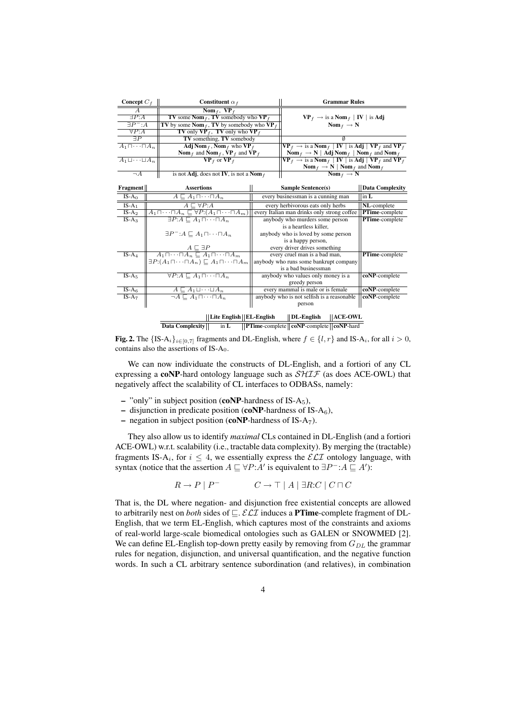| Concept $C_f$                                                                                      |                                                                                    | Constituent $\alpha_f$                                                                                                                                                                                                  |                                                                                                                                                                                                 | <b>Grammar Rules</b>                                                                                                                                                                                                                                                                        |                        |  |  |
|----------------------------------------------------------------------------------------------------|------------------------------------------------------------------------------------|-------------------------------------------------------------------------------------------------------------------------------------------------------------------------------------------------------------------------|-------------------------------------------------------------------------------------------------------------------------------------------------------------------------------------------------|---------------------------------------------------------------------------------------------------------------------------------------------------------------------------------------------------------------------------------------------------------------------------------------------|------------------------|--|--|
| $\overline{A}$<br>$\exists P:A$<br>$\exists P^-:A$<br>$\forall P:A$                                |                                                                                    | Nom $_f$ , VP $_f$<br><b>TV</b> some <b>Nom</b> <sub>f</sub> , <b>TV</b> somebody who $VP_f$<br>TV by some Nom $_f$ , TV by somebody who VP $_f$<br><b>TV</b> only $\mathbf{VP}_f$ , <b>TV</b> only who $\mathbf{VP}_f$ |                                                                                                                                                                                                 | $\mathbf{VP}_f \rightarrow \text{is a } \mathbf{Nom}_f \mid \mathbf{IV} \mid \text{is Adj}$<br>$\text{Nom}_f \rightarrow \text{N}$                                                                                                                                                          |                        |  |  |
| $\exists P$                                                                                        |                                                                                    | TV something, TV somebody                                                                                                                                                                                               |                                                                                                                                                                                                 |                                                                                                                                                                                                                                                                                             |                        |  |  |
| $A_1\sqcap\cdots\sqcap A_n$                                                                        | Adj Nom $_f$ , Nom $_f$ who VP $_f$<br>Nom $_f$ and Nom $_f$ , VP $_f$ and VP $_f$ |                                                                                                                                                                                                                         | $\overline{VP}_f \rightarrow$ is a Nom $_f \mid IV \mid$ is Adj $\mid VP_f$ and $VP_f$<br>$\text{Nom}_f \rightarrow \text{N} \mid \text{Adj} \text{Nom}_f \mid \text{Nom}_f$ and $\text{Nom}_f$ |                                                                                                                                                                                                                                                                                             |                        |  |  |
| $A_1 \sqcup \cdots \sqcup A_n$                                                                     |                                                                                    | $VP_f$ or $VP_f$                                                                                                                                                                                                        |                                                                                                                                                                                                 | $\overline{\mathbf{VP}_f \rightarrow \text{is a } \mathbf{Nom}_f \mid \mathbf{IV} \mid \text{is } \mathbf{Adj} \mid \mathbf{VP}_f \text{ and } \mathbf{VP}_f}$<br>$\frac{\text{Nom}_f \rightarrow \text{N} \mid \text{Nom}_f \text{ and } \text{Nom}_f}{\text{Nom}_f \rightarrow \text{N}}$ |                        |  |  |
| $\neg A$                                                                                           |                                                                                    | is not Adj, does not IV, is not a Nom $_f$                                                                                                                                                                              |                                                                                                                                                                                                 |                                                                                                                                                                                                                                                                                             |                        |  |  |
| Fragment                                                                                           |                                                                                    | <b>Assertions</b>                                                                                                                                                                                                       |                                                                                                                                                                                                 | Sample Sentence(s)                                                                                                                                                                                                                                                                          | <b>Data Complexity</b> |  |  |
| $IS-A0$                                                                                            |                                                                                    | $A \sqsubset A_1 \sqcap \cdots \sqcap A_n$                                                                                                                                                                              |                                                                                                                                                                                                 | every businessman is a cunning man                                                                                                                                                                                                                                                          | in $L$                 |  |  |
| $IS-A_1$                                                                                           |                                                                                    | $A \sqsubset \forall P:A$                                                                                                                                                                                               |                                                                                                                                                                                                 | every herbivorous eats only herbs                                                                                                                                                                                                                                                           | NL-complete            |  |  |
| $IS-A2$                                                                                            |                                                                                    | $A_1 \sqcap \cdots \sqcap A_n \sqsubseteq \forall P: (A_1 \sqcap \cdots \sqcap A_m)$                                                                                                                                    |                                                                                                                                                                                                 | every Italian man drinks only strong coffee                                                                                                                                                                                                                                                 | PTime-complete         |  |  |
| $IS-A_3$                                                                                           |                                                                                    | $\exists P:A \sqsubset A_1 \sqcap \cdots \sqcap A_n$                                                                                                                                                                    |                                                                                                                                                                                                 | anybody who murders some person<br>is a heartless killer,                                                                                                                                                                                                                                   | PTime-complete         |  |  |
|                                                                                                    |                                                                                    | $\exists P^-: A \sqsubset A_1 \sqcap \cdots \sqcap A_n$                                                                                                                                                                 | anybody who is loved by some person                                                                                                                                                             |                                                                                                                                                                                                                                                                                             |                        |  |  |
|                                                                                                    |                                                                                    | $\frac{A \sqsubseteq \exists P}{A_1 \sqcap \cdots \sqcap A_n \sqsubseteq A_1 \sqcap \cdots \sqcap A_m}$                                                                                                                 |                                                                                                                                                                                                 | every driver drives something                                                                                                                                                                                                                                                               |                        |  |  |
| $IS-A_4$                                                                                           |                                                                                    | $\exists P(A_1 \sqcap \cdots \sqcap A_n) \sqsubset A_1 \sqcap \cdots \sqcap A_m$                                                                                                                                        | every cruel man is a bad man,<br>anybody who runs some bankrupt company<br>is a bad businessman                                                                                                 | PTime-complete                                                                                                                                                                                                                                                                              |                        |  |  |
| $IS-A5$                                                                                            |                                                                                    | $\forall P:A \sqsubset A_1 \sqcap \cdots \sqcap A_n$                                                                                                                                                                    |                                                                                                                                                                                                 | anybody who values only money is a<br>greedy person                                                                                                                                                                                                                                         | coNP-complete          |  |  |
| $IS-A6$                                                                                            |                                                                                    | $A \sqsubset A_1 \sqcup \cdots \sqcup A_n$                                                                                                                                                                              |                                                                                                                                                                                                 | every mammal is male or is female                                                                                                                                                                                                                                                           | coNP-complete          |  |  |
| $IS-A7$                                                                                            |                                                                                    | $\neg A \sqsubset A_1 \sqcap \cdots \sqcap A_n$                                                                                                                                                                         |                                                                                                                                                                                                 | anybody who is not selfish is a reasonable<br>person                                                                                                                                                                                                                                        | coNP-complete          |  |  |
| Lite English    EL-English<br>$  $ ACE-OWL<br>$  $ DL-English                                      |                                                                                    |                                                                                                                                                                                                                         |                                                                                                                                                                                                 |                                                                                                                                                                                                                                                                                             |                        |  |  |
| PTime-complete    coNP-complete    coNP-hard<br><b>Data Complexity</b><br>$\overline{\text{in L}}$ |                                                                                    |                                                                                                                                                                                                                         |                                                                                                                                                                                                 |                                                                                                                                                                                                                                                                                             |                        |  |  |

**Fig. 2.** The  $\{IS-A_i\}_{i\in[0,7]}$  fragments and DL-English, where  $f \in \{l, r\}$  and IS-A<sub>i</sub>, for all  $i > 0$ , contains also the assertions of IS-A0.

We can now individuate the constructs of DL-English, and a fortiori of any CL expressing a coNP-hard ontology language such as  $\mathcal{SHIF}$  (as does ACE-OWL) that negatively affect the scalability of CL interfaces to ODBASs, namely:

- "only" in subject position (coNP-hardness of IS-A<sub>5</sub>),
- disjunction in predicate position (coNP-hardness of IS- $A_6$ ),
- negation in subject position (coNP-hardness of IS-A<sub>7</sub>).

They also allow us to identify *maximal* CLs contained in DL-English (and a fortiori ACE-OWL) w.r.t. scalability (i.e., tractable data complexity). By merging the (tractable) fragments IS-A<sub>i</sub>, for  $i \leq 4$ , we essentially express the  $\mathcal{ELI}$  ontology language, with syntax (notice that the assertion  $A \sqsubseteq \forall P:A'$  is equivalent to  $\exists P^{-}: A \sqsubseteq A'$ ):

$$
R \to P \mid P^- \qquad \qquad C \to \top \mid A \mid \exists R:C \mid C \sqcap C
$$

That is, the DL where negation- and disjunction free existential concepts are allowed to arbitrarily nest on *both* sides of  $\Box$ . ELI induces a **PTime**-complete fragment of DL-English, that we term EL-English, which captures most of the constraints and axioms of real-world large-scale biomedical ontologies such as GALEN or SNOWMED [2]. We can define EL-English top-down pretty easily by removing from  $G_{DL}$  the grammar rules for negation, disjunction, and universal quantification, and the negative function words. In such a CL arbitrary sentence subordination (and relatives), in combination